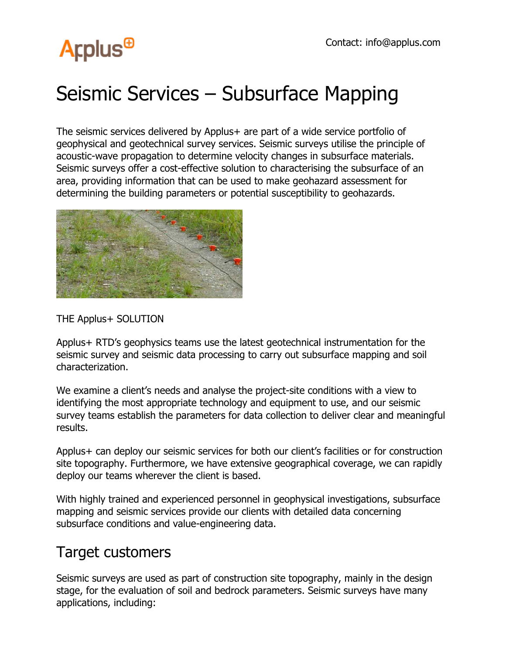## **Arplus<sup>®</sup>**

### Seismic Services – Subsurface Mapping

The seismic services delivered by Applus+ are part of a wide service portfolio of geophysical and geotechnical survey services. Seismic surveys utilise the principle of acoustic-wave propagation to determine velocity changes in subsurface materials. Seismic surveys offer a cost-effective solution to characterising the subsurface of an area, providing information that can be used to make geohazard assessment for determining the building parameters or potential susceptibility to geohazards.



THE Applus+ SOLUTION

Applus+ RTD's geophysics teams use the latest geotechnical instrumentation for the seismic survey and seismic data processing to carry out subsurface mapping and soil characterization.

We examine a client's needs and analyse the project-site conditions with a view to identifying the most appropriate technology and equipment to use, and our seismic survey teams establish the parameters for data collection to deliver clear and meaningful results.

Applus+ can deploy our seismic services for both our client's facilities or for construction site topography. Furthermore, we have extensive geographical coverage, we can rapidly deploy our teams wherever the client is based.

With highly trained and experienced personnel in geophysical investigations, subsurface mapping and seismic services provide our clients with detailed data concerning subsurface conditions and value-engineering data.

#### Target customers

Seismic surveys are used as part of construction site topography, mainly in the design stage, for the evaluation of soil and bedrock parameters. Seismic surveys have many applications, including: